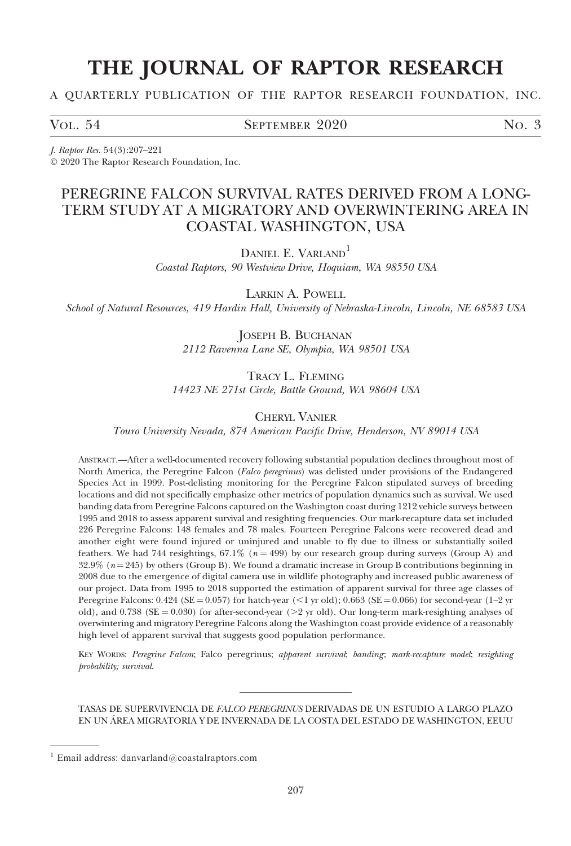# THE JOURNAL OF RAPTOR RESEARCH

A QUARTERLY PUBLICATION OF THE RAPTOR RESEARCH FOUNDATION, INC.

VOL. 54 SEPTEMBER 2020 NO. 3

J. Raptor Res. 54(3):207–221 - 2020 The Raptor Research Foundation, Inc.

## PEREGRINE FALCON SURVIVAL RATES DERIVED FROM A LONG-TERM STUDY AT A MIGRATORY AND OVERWINTERING AREA IN COASTAL WASHINGTON, USA

DANIEL E. VARLAND<sup>1</sup> Coastal Raptors, 90 Westview Drive, Hoquiam, WA 98550 USA

LARKIN A. POWELL School of Natural Resources, 419 Hardin Hall, University of Nebraska-Lincoln, Lincoln, NE 68583 USA

> JOSEPH B. BUCHANAN 2112 Ravenna Lane SE, Olympia, WA 98501 USA

TRACY L. FLEMING 14423 NE 271st Circle, Battle Ground, WA 98604 USA

CHERYL VANIER

Touro University Nevada, 874 American Pacific Drive, Henderson, NV 89014 USA

ABSTRACT.—After a well-documented recovery following substantial population declines throughout most of North America, the Peregrine Falcon (Falco peregrinus) was delisted under provisions of the Endangered Species Act in 1999. Post-delisting monitoring for the Peregrine Falcon stipulated surveys of breeding locations and did not specifically emphasize other metrics of population dynamics such as survival. We used banding data from Peregrine Falcons captured on the Washington coast during 1212 vehicle surveys between 1995 and 2018 to assess apparent survival and resighting frequencies. Our mark-recapture data set included 226 Peregrine Falcons: 148 females and 78 males. Fourteen Peregrine Falcons were recovered dead and another eight were found injured or uninjured and unable to fly due to illness or substantially soiled feathers. We had 744 resightings,  $67.1\%$  ( $n = 499$ ) by our research group during surveys (Group A) and  $32.9\%$  ( $n=245$ ) by others (Group B). We found a dramatic increase in Group B contributions beginning in 2008 due to the emergence of digital camera use in wildlife photography and increased public awareness of our project. Data from 1995 to 2018 supported the estimation of apparent survival for three age classes of Peregrine Falcons:  $0.424$  (SE =  $0.057$ ) for hatch-year (<1 yr old);  $0.663$  (SE =  $0.066$ ) for second-year (1–2 yr old), and 0.738 (SE = 0.030) for after-second-year ( $>2$  yr old). Our long-term mark-resighting analyses of overwintering and migratory Peregrine Falcons along the Washington coast provide evidence of a reasonably high level of apparent survival that suggests good population performance.

KEY WORDS: Peregrine Falcon; Falco peregrinus; apparent survival; banding; mark-recapture model; resighting probability; survival.

TASAS DE SUPERVIVENCIA DE FALCO PEREGRINUS DERIVADAS DE UN ESTUDIO A LARGO PLAZO EN UN AREA MIGRATORIA Y DE INVERNADA DE LA COSTA DEL ESTADO DE WASHINGTON, EEUU ´

 $1$  Email address: danvarland@coastalraptors.com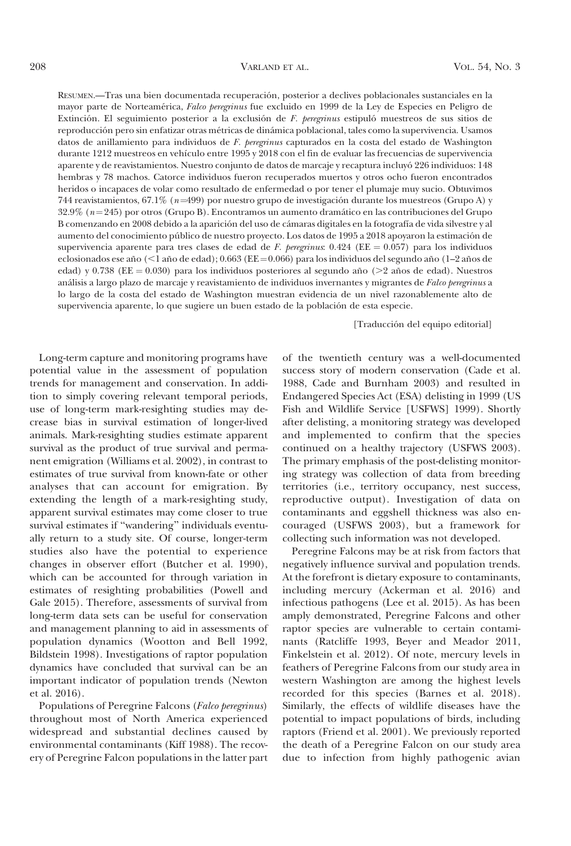RESUMEN.—Tras una bien documentada recuperación, posterior a declives poblacionales sustanciales en la mayor parte de Norteamérica, Falco peregrinus fue excluido en 1999 de la Ley de Especies en Peligro de Extinción. El seguimiento posterior a la exclusión de F. peregrinus estipuló muestreos de sus sitios de reproducción pero sin enfatizar otras métricas de dinámica poblacional, tales como la supervivencia. Usamos datos de anillamiento para individuos de F. peregrinus capturados en la costa del estado de Washington durante 1212 muestreos en vehículo entre 1995 y 2018 con el fin de evaluar las frecuencias de supervivencia aparente y de reavistamientos. Nuestro conjunto de datos de marcaje y recaptura incluyo´ 226 individuos: 148 hembras y 78 machos. Catorce individuos fueron recuperados muertos y otros ocho fueron encontrados heridos o incapaces de volar como resultado de enfermedad o por tener el plumaje muy sucio. Obtuvimos 744 reavistamientos, 67.1% ( $n=499$ ) por nuestro grupo de investigación durante los muestreos (Grupo A) y  $32.9\%$  ( $n=245$ ) por otros (Grupo B). Encontramos un aumento dramático en las contribuciones del Grupo B comenzando en 2008 debido a la aparición del uso de cámaras digitales en la fotografía de vida silvestre y al aumento del conocimiento público de nuestro proyecto. Los datos de 1995 a 2018 apoyaron la estimación de supervivencia aparente para tres clases de edad de F. peregrinus:  $0.424$  (EE = 0.057) para los individuos eclosionados ese año ( $\leq 1$  año de edad); 0.663 (EE = 0.066) para los individuos del segundo año (1–2 años de edad) y 0.738 ( $EE = 0.030$ ) para los individuos posteriores al segundo año (>2 años de edad). Nuestros análisis a largo plazo de marcaje y reavistamiento de individuos invernantes y migrantes de Falco peregrinus a lo largo de la costa del estado de Washington muestran evidencia de un nivel razonablemente alto de supervivencia aparente, lo que sugiere un buen estado de la población de esta especie.

[Traducción del equipo editorial]

Long-term capture and monitoring programs have potential value in the assessment of population trends for management and conservation. In addition to simply covering relevant temporal periods, use of long-term mark-resighting studies may decrease bias in survival estimation of longer-lived animals. Mark-resighting studies estimate apparent survival as the product of true survival and permanent emigration (Williams et al. 2002), in contrast to estimates of true survival from known-fate or other analyses that can account for emigration. By extending the length of a mark-resighting study, apparent survival estimates may come closer to true survival estimates if ''wandering'' individuals eventually return to a study site. Of course, longer-term studies also have the potential to experience changes in observer effort (Butcher et al. 1990), which can be accounted for through variation in estimates of resighting probabilities (Powell and Gale 2015). Therefore, assessments of survival from long-term data sets can be useful for conservation and management planning to aid in assessments of population dynamics (Wootton and Bell 1992, Bildstein 1998). Investigations of raptor population dynamics have concluded that survival can be an important indicator of population trends (Newton et al. 2016).

Populations of Peregrine Falcons (Falco peregrinus) throughout most of North America experienced widespread and substantial declines caused by environmental contaminants (Kiff 1988). The recovery of Peregrine Falcon populations in the latter part of the twentieth century was a well-documented success story of modern conservation (Cade et al. 1988, Cade and Burnham 2003) and resulted in Endangered Species Act (ESA) delisting in 1999 (US Fish and Wildlife Service [USFWS] 1999). Shortly after delisting, a monitoring strategy was developed and implemented to confirm that the species continued on a healthy trajectory (USFWS 2003). The primary emphasis of the post-delisting monitoring strategy was collection of data from breeding territories (i.e., territory occupancy, nest success, reproductive output). Investigation of data on contaminants and eggshell thickness was also encouraged (USFWS 2003), but a framework for collecting such information was not developed.

Peregrine Falcons may be at risk from factors that negatively influence survival and population trends. At the forefront is dietary exposure to contaminants, including mercury (Ackerman et al. 2016) and infectious pathogens (Lee et al. 2015). As has been amply demonstrated, Peregrine Falcons and other raptor species are vulnerable to certain contaminants (Ratcliffe 1993, Beyer and Meador 2011, Finkelstein et al. 2012). Of note, mercury levels in feathers of Peregrine Falcons from our study area in western Washington are among the highest levels recorded for this species (Barnes et al. 2018). Similarly, the effects of wildlife diseases have the potential to impact populations of birds, including raptors (Friend et al. 2001). We previously reported the death of a Peregrine Falcon on our study area due to infection from highly pathogenic avian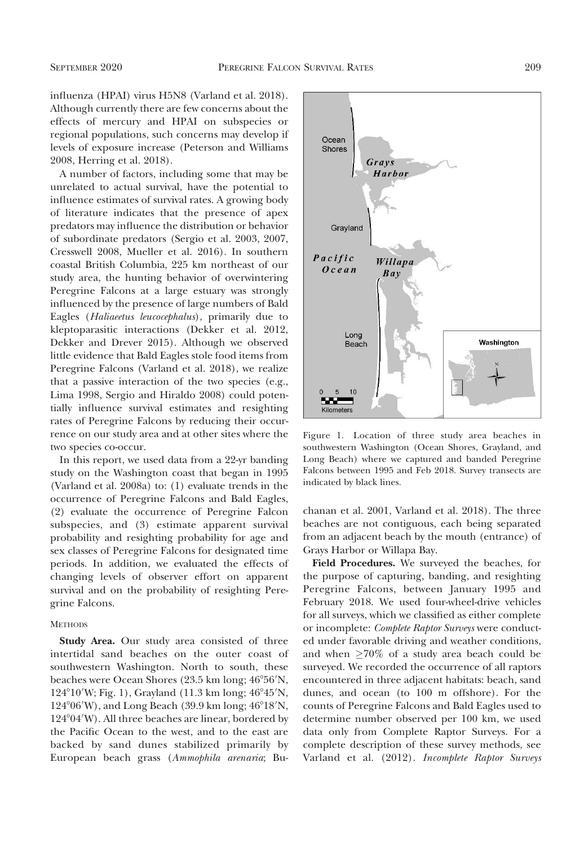influenza (HPAI) virus H5N8 (Varland et al. 2018). Although currently there are few concerns about the effects of mercury and HPAI on subspecies or regional populations, such concerns may develop if levels of exposure increase (Peterson and Williams 2008, Herring et al. 2018).

A number of factors, including some that may be unrelated to actual survival, have the potential to influence estimates of survival rates. A growing body of literature indicates that the presence of apex predators may influence the distribution or behavior of subordinate predators (Sergio et al. 2003, 2007, Cresswell 2008, Mueller et al. 2016). In southern coastal British Columbia, 225 km northeast of our study area, the hunting behavior of overwintering Peregrine Falcons at a large estuary was strongly influenced by the presence of large numbers of Bald Eagles (Haliaeetus leucocephalus), primarily due to kleptoparasitic interactions (Dekker et al. 2012, Dekker and Drever 2015). Although we observed little evidence that Bald Eagles stole food items from Peregrine Falcons (Varland et al. 2018), we realize that a passive interaction of the two species (e.g., Lima 1998, Sergio and Hiraldo 2008) could potentially influence survival estimates and resighting rates of Peregrine Falcons by reducing their occurrence on our study area and at other sites where the two species co-occur.

In this report, we used data from a 22-yr banding study on the Washington coast that began in 1995 (Varland et al. 2008a) to: (1) evaluate trends in the occurrence of Peregrine Falcons and Bald Eagles, (2) evaluate the occurrence of Peregrine Falcon subspecies, and (3) estimate apparent survival probability and resighting probability for age and sex classes of Peregrine Falcons for designated time periods. In addition, we evaluated the effects of changing levels of observer effort on apparent survival and on the probability of resighting Peregrine Falcons.

#### **METHODS**

Study Area. Our study area consisted of three intertidal sand beaches on the outer coast of southwestern Washington. North to south, these beaches were Ocean Shores (23.5 km long; 46°56′N, 124°10'W; Fig. 1), Grayland (11.3 km long; 46°45'N, 124°06′W), and Long Beach (39.9 km long; 46°18′N, 124°04′W). All three beaches are linear, bordered by the Pacific Ocean to the west, and to the east are backed by sand dunes stabilized primarily by European beach grass (Ammophila arenaria; Bu-



Figure 1. Location of three study area beaches in southwestern Washington (Ocean Shores, Grayland, and Long Beach) where we captured and banded Peregrine Falcons between 1995 and Feb 2018. Survey transects are indicated by black lines.

chanan et al. 2001, Varland et al. 2018). The three beaches are not contiguous, each being separated from an adjacent beach by the mouth (entrance) of Grays Harbor or Willapa Bay.

Field Procedures. We surveyed the beaches, for the purpose of capturing, banding, and resighting Peregrine Falcons, between January 1995 and February 2018. We used four-wheel-drive vehicles for all surveys, which we classified as either complete or incomplete: Complete Raptor Surveys were conducted under favorable driving and weather conditions, and when  $\geq 70\%$  of a study area beach could be surveyed. We recorded the occurrence of all raptors encountered in three adjacent habitats: beach, sand dunes, and ocean (to 100 m offshore). For the counts of Peregrine Falcons and Bald Eagles used to determine number observed per 100 km, we used data only from Complete Raptor Surveys. For a complete description of these survey methods, see Varland et al. (2012). Incomplete Raptor Surveys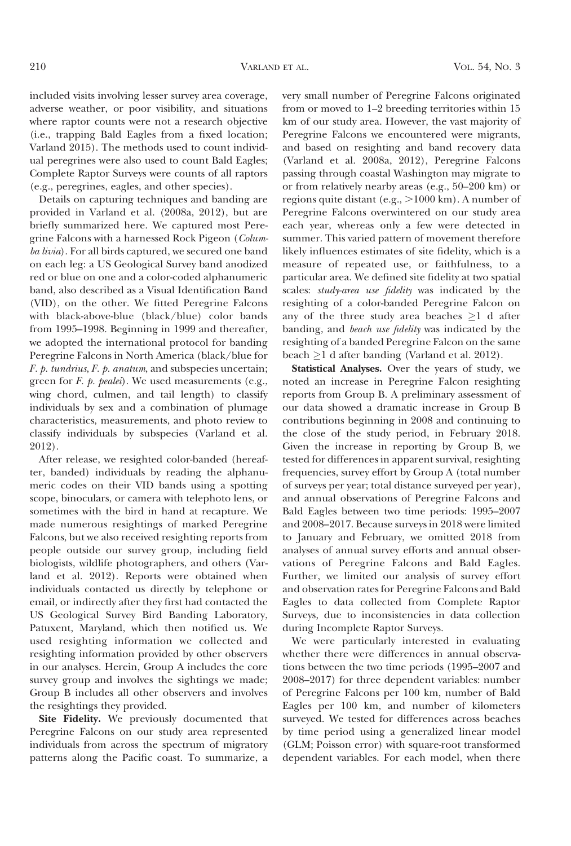included visits involving lesser survey area coverage, adverse weather, or poor visibility, and situations where raptor counts were not a research objective (i.e., trapping Bald Eagles from a fixed location; Varland 2015). The methods used to count individual peregrines were also used to count Bald Eagles; Complete Raptor Surveys were counts of all raptors (e.g., peregrines, eagles, and other species).

Details on capturing techniques and banding are provided in Varland et al. (2008a, 2012), but are briefly summarized here. We captured most Peregrine Falcons with a harnessed Rock Pigeon (Columba livia). For all birds captured, we secured one band on each leg: a US Geological Survey band anodized red or blue on one and a color-coded alphanumeric band, also described as a Visual Identification Band (VID), on the other. We fitted Peregrine Falcons with black-above-blue (black/blue) color bands from 1995–1998. Beginning in 1999 and thereafter, we adopted the international protocol for banding Peregrine Falcons in North America (black/blue for F. p. tundrius, F. p. anatum, and subspecies uncertain; green for  $F$ .  $p$ . pealei). We used measurements (e.g., wing chord, culmen, and tail length) to classify individuals by sex and a combination of plumage characteristics, measurements, and photo review to classify individuals by subspecies (Varland et al. 2012).

After release, we resighted color-banded (hereafter, banded) individuals by reading the alphanumeric codes on their VID bands using a spotting scope, binoculars, or camera with telephoto lens, or sometimes with the bird in hand at recapture. We made numerous resightings of marked Peregrine Falcons, but we also received resighting reports from people outside our survey group, including field biologists, wildlife photographers, and others (Varland et al. 2012). Reports were obtained when individuals contacted us directly by telephone or email, or indirectly after they first had contacted the US Geological Survey Bird Banding Laboratory, Patuxent, Maryland, which then notified us. We used resighting information we collected and resighting information provided by other observers in our analyses. Herein, Group A includes the core survey group and involves the sightings we made; Group B includes all other observers and involves the resightings they provided.

Site Fidelity. We previously documented that Peregrine Falcons on our study area represented individuals from across the spectrum of migratory patterns along the Pacific coast. To summarize, a very small number of Peregrine Falcons originated from or moved to 1–2 breeding territories within 15 km of our study area. However, the vast majority of Peregrine Falcons we encountered were migrants, and based on resighting and band recovery data (Varland et al. 2008a, 2012), Peregrine Falcons passing through coastal Washington may migrate to or from relatively nearby areas (e.g., 50–200 km) or regions quite distant (e.g.,  $>1000$  km). A number of Peregrine Falcons overwintered on our study area each year, whereas only a few were detected in summer. This varied pattern of movement therefore likely influences estimates of site fidelity, which is a measure of repeated use, or faithfulness, to a particular area. We defined site fidelity at two spatial scales: study-area use fidelity was indicated by the resighting of a color-banded Peregrine Falcon on any of the three study area beaches  $\geq 1$  d after banding, and beach use fidelity was indicated by the resighting of a banded Peregrine Falcon on the same beach  $\geq$ 1 d after banding (Varland et al. 2012).

Statistical Analyses. Over the years of study, we noted an increase in Peregrine Falcon resighting reports from Group B. A preliminary assessment of our data showed a dramatic increase in Group B contributions beginning in 2008 and continuing to the close of the study period, in February 2018. Given the increase in reporting by Group B, we tested for differences in apparent survival, resighting frequencies, survey effort by Group A (total number of surveys per year; total distance surveyed per year), and annual observations of Peregrine Falcons and Bald Eagles between two time periods: 1995–2007 and 2008–2017. Because surveys in 2018 were limited to January and February, we omitted 2018 from analyses of annual survey efforts and annual observations of Peregrine Falcons and Bald Eagles. Further, we limited our analysis of survey effort and observation rates for Peregrine Falcons and Bald Eagles to data collected from Complete Raptor Surveys, due to inconsistencies in data collection during Incomplete Raptor Surveys.

We were particularly interested in evaluating whether there were differences in annual observations between the two time periods (1995–2007 and 2008–2017) for three dependent variables: number of Peregrine Falcons per 100 km, number of Bald Eagles per 100 km, and number of kilometers surveyed. We tested for differences across beaches by time period using a generalized linear model (GLM; Poisson error) with square-root transformed dependent variables. For each model, when there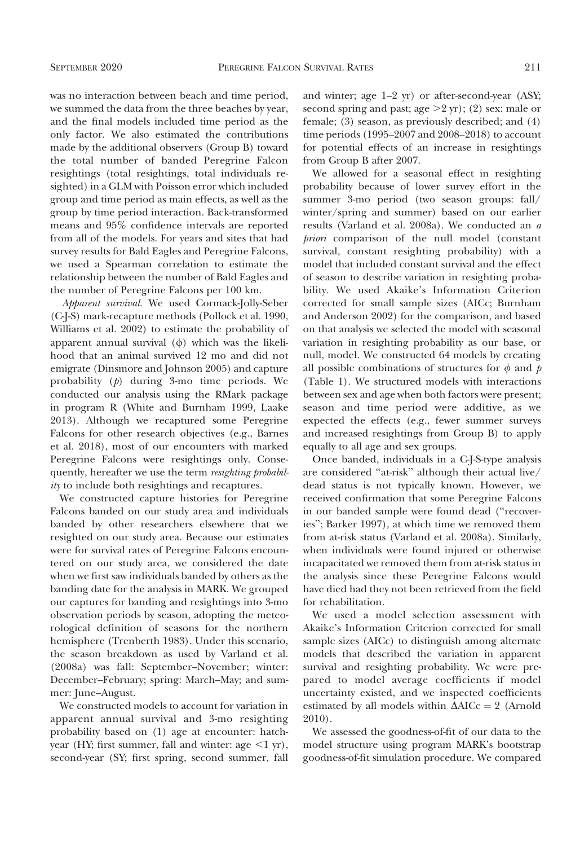was no interaction between beach and time period, we summed the data from the three beaches by year, and the final models included time period as the only factor. We also estimated the contributions made by the additional observers (Group B) toward the total number of banded Peregrine Falcon resightings (total resightings, total individuals resighted) in a GLM with Poisson error which included group and time period as main effects, as well as the group by time period interaction. Back-transformed means and 95% confidence intervals are reported from all of the models. For years and sites that had survey results for Bald Eagles and Peregrine Falcons, we used a Spearman correlation to estimate the relationship between the number of Bald Eagles and the number of Peregrine Falcons per 100 km.

Apparent survival. We used Cormack-Jolly-Seber (C-J-S) mark-recapture methods (Pollock et al. 1990, Williams et al. 2002) to estimate the probability of apparent annual survival  $(\phi)$  which was the likelihood that an animal survived 12 mo and did not emigrate (Dinsmore and Johnson 2005) and capture probability (p) during 3-mo time periods. We conducted our analysis using the RMark package in program R (White and Burnham 1999, Laake 2013). Although we recaptured some Peregrine Falcons for other research objectives (e.g., Barnes et al. 2018), most of our encounters with marked Peregrine Falcons were resightings only. Consequently, hereafter we use the term resighting probability to include both resightings and recaptures.

We constructed capture histories for Peregrine Falcons banded on our study area and individuals banded by other researchers elsewhere that we resighted on our study area. Because our estimates were for survival rates of Peregrine Falcons encountered on our study area, we considered the date when we first saw individuals banded by others as the banding date for the analysis in MARK. We grouped our captures for banding and resightings into 3-mo observation periods by season, adopting the meteorological definition of seasons for the northern hemisphere (Trenberth 1983). Under this scenario, the season breakdown as used by Varland et al. (2008a) was fall: September–November; winter: December–February; spring: March–May; and summer: June–August.

We constructed models to account for variation in apparent annual survival and 3-mo resighting probability based on (1) age at encounter: hatchyear (HY; first summer, fall and winter: age  $\leq 1$  yr), second-year (SY; first spring, second summer, fall and winter; age 1–2 yr) or after-second-year (ASY; second spring and past; age  $>2$  yr); (2) sex: male or female; (3) season, as previously described; and (4) time periods (1995–2007 and 2008–2018) to account for potential effects of an increase in resightings from Group B after 2007.

We allowed for a seasonal effect in resighting probability because of lower survey effort in the summer 3-mo period (two season groups: fall/ winter/spring and summer) based on our earlier results (Varland et al. 2008a). We conducted an a priori comparison of the null model (constant survival, constant resighting probability) with a model that included constant survival and the effect of season to describe variation in resighting probability. We used Akaike's Information Criterion corrected for small sample sizes (AICc; Burnham and Anderson 2002) for the comparison, and based on that analysis we selected the model with seasonal variation in resighting probability as our base, or null, model. We constructed 64 models by creating all possible combinations of structures for  $\phi$  and  $p$ (Table 1). We structured models with interactions between sex and age when both factors were present; season and time period were additive, as we expected the effects (e.g., fewer summer surveys and increased resightings from Group B) to apply equally to all age and sex groups.

Once banded, individuals in a C-J-S-type analysis are considered ''at-risk'' although their actual live/ dead status is not typically known. However, we received confirmation that some Peregrine Falcons in our banded sample were found dead (''recoveries''; Barker 1997), at which time we removed them from at-risk status (Varland et al. 2008a). Similarly, when individuals were found injured or otherwise incapacitated we removed them from at-risk status in the analysis since these Peregrine Falcons would have died had they not been retrieved from the field for rehabilitation.

We used a model selection assessment with Akaike's Information Criterion corrected for small sample sizes (AICc) to distinguish among alternate models that described the variation in apparent survival and resighting probability. We were prepared to model average coefficients if model uncertainty existed, and we inspected coefficients estimated by all models within  $\Delta AICc = 2$  (Arnold 2010).

We assessed the goodness-of-fit of our data to the model structure using program MARK's bootstrap goodness-of-fit simulation procedure. We compared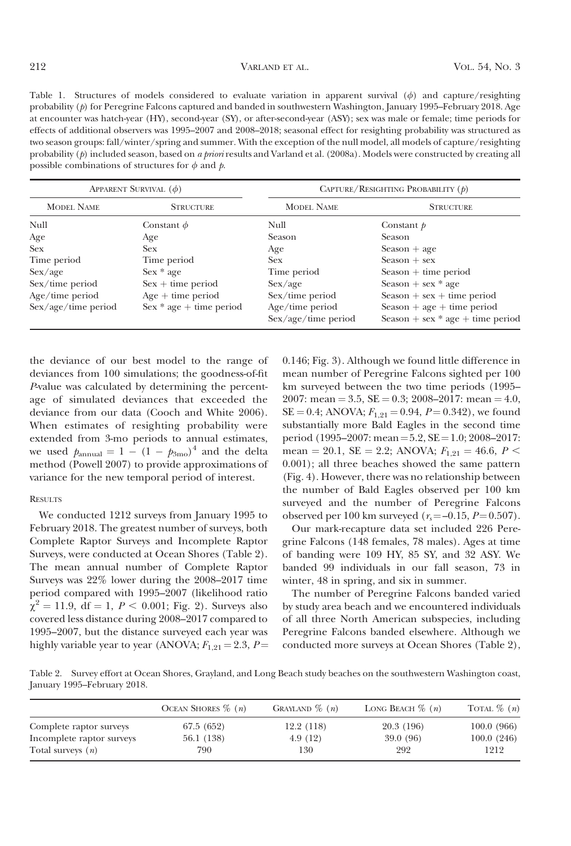Table 1. Structures of models considered to evaluate variation in apparent survival  $(\phi)$  and capture/resighting probability (p) for Peregrine Falcons captured and banded in southwestern Washington, January 1995–February 2018. Age at encounter was hatch-year (HY), second-year (SY), or after-second-year (ASY); sex was male or female; time periods for effects of additional observers was 1995–2007 and 2008–2018; seasonal effect for resighting probability was structured as two season groups: fall/winter/spring and summer. With the exception of the null model, all models of capture/resighting probability  $(p)$  included season, based on a priori results and Varland et al. (2008a). Models were constructed by creating all possible combinations of structures for  $\phi$  and  $\dot{p}$ .

| APPARENT SURVIVAL $(\phi)$ |                           | CAPTURE/RESIGHTING PROBABILITY $(p)$   |                                                                  |  |  |
|----------------------------|---------------------------|----------------------------------------|------------------------------------------------------------------|--|--|
| <b>MODEL NAME</b>          | <b>STRUCTURE</b>          | <b>MODEL NAME</b>                      | <b>STRUCTURE</b>                                                 |  |  |
| Null                       | Constant $\phi$           | Null                                   | Constant $p$                                                     |  |  |
| Age                        | Age                       | Season                                 | Season                                                           |  |  |
| <b>Sex</b>                 | <b>Sex</b>                | Age                                    | $Searen + age$                                                   |  |  |
| Time period                | Time period               | <b>Sex</b>                             | $Searesen + sex$                                                 |  |  |
| Sex/age                    | $Sex * age$               | Time period                            | $Sear + time period$                                             |  |  |
| $Sex/time$ period          | $Sex + time period$       | Sex/age                                | Season + sex $*$ age                                             |  |  |
| $Age/time$ period          | $Age + time period$       | Sex/time period                        | $Sear + sex + time period$                                       |  |  |
| Sex/age/time period        | $Sex * age + time period$ | Age/time period<br>Sex/age/time period | $Sear + age + time period$<br>Season + sex $*$ age + time period |  |  |

the deviance of our best model to the range of deviances from 100 simulations; the goodness-of-fit P-value was calculated by determining the percentage of simulated deviances that exceeded the deviance from our data (Cooch and White 2006). When estimates of resighting probability were extended from 3-mo periods to annual estimates, we used  $p_{\text{annual}} = 1 - (1 - p_{3\text{mo}})^4$  and the delta method (Powell 2007) to provide approximations of variance for the new temporal period of interest.

#### RESULTS

We conducted 1212 surveys from January 1995 to February 2018. The greatest number of surveys, both Complete Raptor Surveys and Incomplete Raptor Surveys, were conducted at Ocean Shores (Table 2). The mean annual number of Complete Raptor Surveys was 22% lower during the 2008–2017 time period compared with 1995–2007 (likelihood ratio  $\chi^2 = 11.9$ , df = 1,  $P < 0.001$ ; Fig. 2). Surveys also covered less distance during 2008–2017 compared to 1995–2007, but the distance surveyed each year was highly variable year to year (ANOVA;  $F_{1,21} = 2.3$ ,  $P =$  0.146; Fig. 3). Although we found little difference in mean number of Peregrine Falcons sighted per 100 km surveyed between the two time periods (1995– 2007: mean = 3.5,  $SE = 0.3$ ; 2008–2017: mean = 4.0,  $SE = 0.4$ ; ANOVA;  $F_{1,21} = 0.94$ ,  $P = 0.342$ ), we found substantially more Bald Eagles in the second time period (1995–2007: mean =  $5.2$ , SE = 1.0; 2008–2017: mean = 20.1, SE = 2.2; ANOVA;  $F_{1,21} = 46.6$ ,  $P \le$ 0.001); all three beaches showed the same pattern (Fig. 4). However, there was no relationship between the number of Bald Eagles observed per 100 km surveyed and the number of Peregrine Falcons observed per 100 km surveyed ( $r_s = -0.15$ ,  $P = 0.507$ ).

Our mark-recapture data set included 226 Peregrine Falcons (148 females, 78 males). Ages at time of banding were 109 HY, 85 SY, and 32 ASY. We banded 99 individuals in our fall season, 73 in winter, 48 in spring, and six in summer.

The number of Peregrine Falcons banded varied by study area beach and we encountered individuals of all three North American subspecies, including Peregrine Falcons banded elsewhere. Although we conducted more surveys at Ocean Shores (Table 2),

Table 2. Survey effort at Ocean Shores, Grayland, and Long Beach study beaches on the southwestern Washington coast, January 1995–February 2018.

|                           | OCEAN SHORES $\%$ ( <i>n</i> ) | GRAYLAND $\%$ $(n)$ | LONG BEACH $\%$ ( <i>n</i> ) | TOTAL $\%$ $(n)$ |
|---------------------------|--------------------------------|---------------------|------------------------------|------------------|
| Complete raptor surveys   | 67.5 (652)                     | 12.2 (118)          | 20.3 (196)                   | 100.0(966)       |
| Incomplete raptor surveys | 56.1 (138)                     | 4.9(12)             | 39.0 (96)                    | 100.0(246)       |
| Total surveys $(n)$       | 790                            | 130                 | 292                          | 1212             |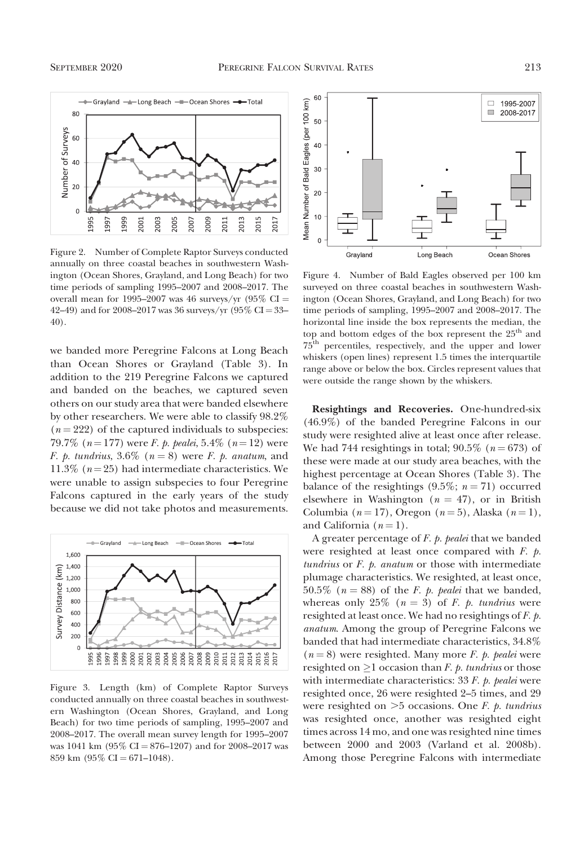

Figure 2. Number of Complete Raptor Surveys conducted annually on three coastal beaches in southwestern Washington (Ocean Shores, Grayland, and Long Beach) for two time periods of sampling 1995–2007 and 2008–2017. The overall mean for 1995–2007 was 46 surveys/yr (95%  $CI =$ 42–49) and for 2008–2017 was 36 surveys/yr  $(95\% \text{ CI} = 33-$ 40).

we banded more Peregrine Falcons at Long Beach than Ocean Shores or Grayland (Table 3). In addition to the 219 Peregrine Falcons we captured and banded on the beaches, we captured seven others on our study area that were banded elsewhere by other researchers. We were able to classify 98.2%  $(n = 222)$  of the captured individuals to subspecies: 79.7% ( $n=177$ ) were F. p. pealei, 5.4% ( $n=12$ ) were F. p. tundrius, 3.6% ( $n = 8$ ) were F. p. anatum, and 11.3% ( $n = 25$ ) had intermediate characteristics. We were unable to assign subspecies to four Peregrine Falcons captured in the early years of the study because we did not take photos and measurements.



Figure 3. Length (km) of Complete Raptor Surveys conducted annually on three coastal beaches in southwestern Washington (Ocean Shores, Grayland, and Long Beach) for two time periods of sampling, 1995–2007 and 2008–2017. The overall mean survey length for 1995–2007 was 1041 km (95% CI = 876–1207) and for 2008–2017 was 859 km  $(95\% \text{ CI} = 671 - 1048)$ .



Figure 4. Number of Bald Eagles observed per 100 km surveyed on three coastal beaches in southwestern Washington (Ocean Shores, Grayland, and Long Beach) for two time periods of sampling, 1995–2007 and 2008–2017. The horizontal line inside the box represents the median, the top and bottom edges of the box represent the  $25<sup>th</sup>$  and 75th percentiles, respectively, and the upper and lower whiskers (open lines) represent 1.5 times the interquartile range above or below the box. Circles represent values that were outside the range shown by the whiskers.

Resightings and Recoveries. One-hundred-six (46.9%) of the banded Peregrine Falcons in our study were resighted alive at least once after release. We had 744 resightings in total; 90.5% ( $n = 673$ ) of these were made at our study area beaches, with the highest percentage at Ocean Shores (Table 3). The balance of the resightings (9.5%;  $n = 71$ ) occurred elsewhere in Washington ( $n = 47$ ), or in British Columbia ( $n = 17$ ), Oregon ( $n = 5$ ), Alaska ( $n = 1$ ), and California  $(n = 1)$ .

A greater percentage of  $F$ .  $p$ . pealei that we banded were resighted at least once compared with  $F$ .  $p$ . tundrius or  $F$ .  $p$ . anatum or those with intermediate plumage characteristics. We resighted, at least once, 50.5% ( $n = 88$ ) of the *F. p. pealei* that we banded, whereas only 25% ( $n = 3$ ) of F. p. tundrius were resighted at least once. We had no resightings of F. p. anatum. Among the group of Peregrine Falcons we banded that had intermediate characteristics, 34.8%  $(n = 8)$  were resighted. Many more *F. p. pealei* were resighted on  $\geq$  1 occasion than *F. p. tundrius* or those with intermediate characteristics:  $33 F. p.$  pealei were resighted once, 26 were resighted 2–5 times, and 29 were resighted on  $>5$  occasions. One F. p. tundrius was resighted once, another was resighted eight times across 14 mo, and one was resighted nine times between 2000 and 2003 (Varland et al. 2008b). Among those Peregrine Falcons with intermediate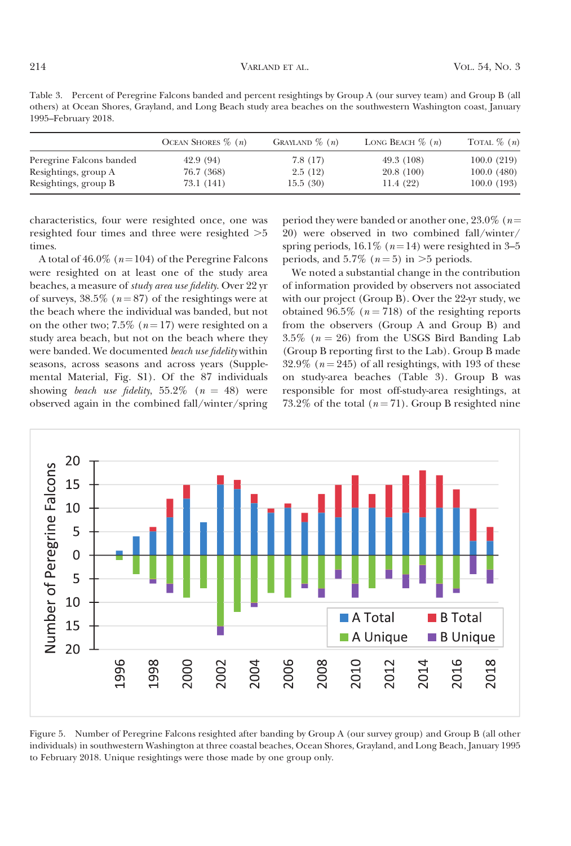| Table 3. Percent of Peregrine Falcons banded and percent resightings by Group A (our survey team) and Group B (all |
|--------------------------------------------------------------------------------------------------------------------|
| others) at Ocean Shores, Grayland, and Long Beach study area beaches on the southwestern Washington coast, January |
| 1995–February 2018.                                                                                                |

|                          | OCEAN SHORES $\%$ ( <i>n</i> ) | GRAYLAND $\%$ $(n)$ | LONG BEACH $\%$ ( <i>n</i> ) | TOTAL $\%$ $(n)$ |
|--------------------------|--------------------------------|---------------------|------------------------------|------------------|
| Peregrine Falcons banded | 42.9 (94)                      | 7.8(17)             | 49.3 (108)                   | 100.0(219)       |
| Resightings, group A     | 76.7 (368)                     | 2.5(12)             | 20.8(100)                    | 100.0(480)       |
| Resightings, group B     | 73.1 (141)                     | 15.5(30)            | 11.4(22)                     | 100.0(193)       |

characteristics, four were resighted once, one was resighted four times and three were resighted  $>5$ times.

A total of 46.0% ( $n=104$ ) of the Peregrine Falcons were resighted on at least one of the study area beaches, a measure of study area use fidelity. Over 22 yr of surveys,  $38.5\%$  ( $n = 87$ ) of the resightings were at the beach where the individual was banded, but not on the other two; 7.5% ( $n = 17$ ) were resighted on a study area beach, but not on the beach where they were banded. We documented beach use fidelity within seasons, across seasons and across years (Supplemental Material, Fig. S1). Of the 87 individuals showing beach use fidelity, 55.2% ( $n = 48$ ) were observed again in the combined fall/winter/spring

period they were banded or another one,  $23.0\%$  (n= 20) were observed in two combined fall/winter/ spring periods, 16.1% ( $n=14$ ) were resighted in 3–5 periods, and  $5.7\%$  ( $n = 5$ ) in  $>5$  periods.

We noted a substantial change in the contribution of information provided by observers not associated with our project (Group B). Over the 22-yr study, we obtained 96.5% ( $n = 718$ ) of the resighting reports from the observers (Group A and Group B) and  $3.5\%$  ( $n = 26$ ) from the USGS Bird Banding Lab (Group B reporting first to the Lab). Group B made 32.9% ( $n = 245$ ) of all resightings, with 193 of these on study-area beaches (Table 3). Group B was responsible for most off-study-area resightings, at 73.2% of the total  $(n = 71)$ . Group B resighted nine



Figure 5. Number of Peregrine Falcons resighted after banding by Group A (our survey group) and Group B (all other individuals) in southwestern Washington at three coastal beaches, Ocean Shores, Grayland, and Long Beach, January 1995 to February 2018. Unique resightings were those made by one group only.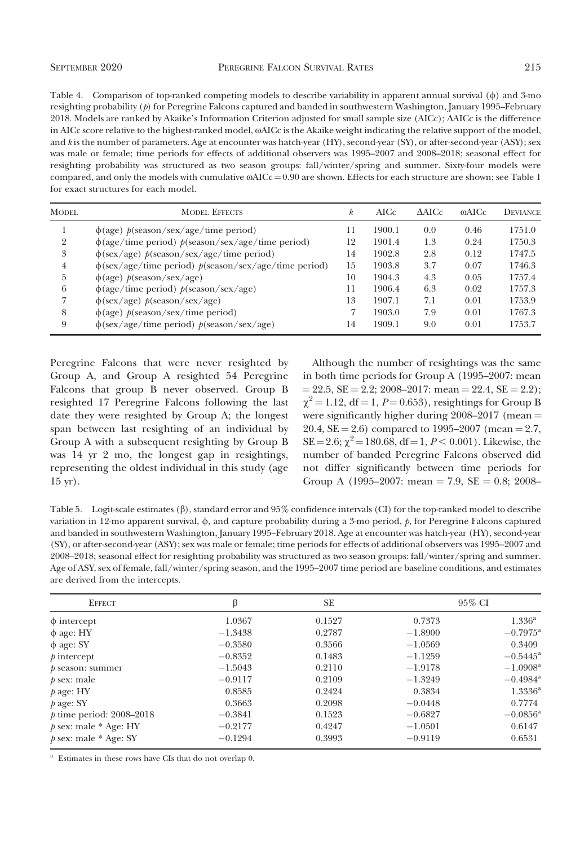Table 4. Comparison of top-ranked competing models to describe variability in apparent annual survival  $(\phi)$  and 3-mo resighting probability  $(p)$  for Peregrine Falcons captured and banded in southwestern Washington, January 1995–February 2018. Models are ranked by Akaike's Information Criterion adjusted for small sample size (AICc); DAICc is the difference in AICc score relative to the highest-ranked model,  $\omega$ AICc is the Akaike weight indicating the relative support of the model, and k is the number of parameters. Age at encounter was hatch-year (HY), second-year (SY), or after-second-year (ASY); sex was male or female; time periods for effects of additional observers was 1995–2007 and 2008–2018; seasonal effect for resighting probability was structured as two season groups: fall/winter/spring and summer. Sixty-four models were compared, and only the models with cumulative  $\omega AICc = 0.90$  are shown. Effects for each structure are shown; see Table 1 for exact structures for each model.

| <b>MODEL</b> | <b>MODEL EFFECTS</b>                                          | k  | AICc   | $\triangle$ AICc | mAICc | <b>DEVIANCE</b> |
|--------------|---------------------------------------------------------------|----|--------|------------------|-------|-----------------|
|              | $\phi$ (age) $p$ (season/sex/age/time period)                 | 11 | 1900.1 | 0.0              | 0.46  | 1751.0          |
| 2            | $\phi$ (age/time period) $p$ (season/sex/age/time period)     | 12 | 1901.4 | 1.3              | 0.24  | 1750.3          |
| 3            | $\phi$ (sex/age) $p$ (season/sex/age/time period)             | 14 | 1902.8 | 2.8              | 0.12  | 1747.5          |
| 4            | $\phi$ (sex/age/time period) $p$ (season/sex/age/time period) | 15 | 1903.8 | 3.7              | 0.07  | 1746.3          |
| b.           | $\phi(age)$ $p$ (season/sex/age)                              | 10 | 1904.3 | 4.3              | 0.05  | 1757.4          |
| 6            | $\phi$ (age/time period) $p$ (season/sex/age)                 | 11 | 1906.4 | 6.3              | 0.02  | 1757.3          |
|              | $\phi$ (sex/age) $p$ (season/sex/age)                         | 13 | 1907.1 | 7.1              | 0.01  | 1753.9          |
| 8            | $\phi$ (age) $p$ (season/sex/time period)                     | 7  | 1903.0 | 7.9              | 0.01  | 1767.3          |
| 9            | $\phi$ (sex/age/time period) $p$ (season/sex/age)             | 14 | 1909.1 | 9.0              | 0.01  | 1753.7          |

Peregrine Falcons that were never resighted by Group A, and Group A resighted 54 Peregrine Falcons that group B never observed. Group B resighted 17 Peregrine Falcons following the last date they were resighted by Group A; the longest span between last resighting of an individual by Group A with a subsequent resighting by Group B was 14 yr 2 mo, the longest gap in resightings, representing the oldest individual in this study (age 15 yr).

Although the number of resightings was the same in both time periods for Group A (1995–2007: mean  $= 22.5$ , SE  $= 2.2$ ; 2008–2017: mean  $= 22.4$ , SE  $= 2.2$ );  $\chi^2$  = 1.12, df = 1, P = 0.653), resightings for Group B were significantly higher during  $2008-2017$  (mean  $=$ 20.4,  $SE = 2.6$ ) compared to 1995–2007 (mean  $= 2.7$ ,  $SE = 2.6$ ;  $\chi^2 = 180.68$ , df = 1,  $P < 0.001$ ). Likewise, the number of banded Peregrine Falcons observed did not differ significantly between time periods for Group A (1995–2007: mean = 7.9,  $SE = 0.8$ ; 2008–

Table 5. Logit-scale estimates  $(\beta)$ , standard error and 95% confidence intervals (CI) for the top-ranked model to describe variation in 12-mo apparent survival,  $\phi$ , and capture probability during a 3-mo period,  $\phi$ , for Peregrine Falcons captured and banded in southwestern Washington, January 1995–February 2018. Age at encounter was hatch-year (HY), second-year (SY), or after-second-year (ASY); sex was male or female; time periods for effects of additional observers was 1995–2007 and 2008–2018; seasonal effect for resighting probability was structured as two season groups: fall/winter/spring and summer. Age of ASY, sex of female, fall/winter/spring season, and the 1995–2007 time period are baseline conditions, and estimates are derived from the intercepts.

| <b>EFFECT</b>              | B         | SE.    | 95% CI    |                        |  |
|----------------------------|-----------|--------|-----------|------------------------|--|
| $\phi$ intercept           | 1.0367    | 0.1527 | 0.7373    | $1.336^{\rm a}$        |  |
| $\phi$ age: HY             | $-1.3438$ | 0.2787 | $-1.8900$ | $-0.7975$ <sup>a</sup> |  |
| $\phi$ age: SY             | $-0.3580$ | 0.3566 | $-1.0569$ | 0.3409                 |  |
| $p$ intercept              | $-0.8352$ | 0.1483 | $-1.1259$ | $-0.5445^{\rm a}$      |  |
| $p$ season: summer         | $-1.5043$ | 0.2110 | $-1.9178$ | $-1.0908$ <sup>a</sup> |  |
| $p sex: male$              | $-0.9117$ | 0.2109 | $-1.3249$ | $-0.4984$ <sup>a</sup> |  |
| $p$ age: HY                | 0.8585    | 0.2424 | 0.3834    | $1.3336^{\rm a}$       |  |
| $p$ age: SY                | 0.3663    | 0.2098 | $-0.0448$ | 0.7774                 |  |
| $p$ time period: 2008–2018 | $-0.3841$ | 0.1523 | $-0.6827$ | $-0.0856^{\rm a}$      |  |
| $p$ sex: male $*$ Age: HY  | $-0.2177$ | 0.4247 | $-1.0501$ | 0.6147                 |  |
| $p$ sex: male $*$ Age: SY  | $-0.1294$ | 0.3993 | $-0.9119$ | 0.6531                 |  |

<sup>a</sup> Estimates in these rows have CIs that do not overlap 0.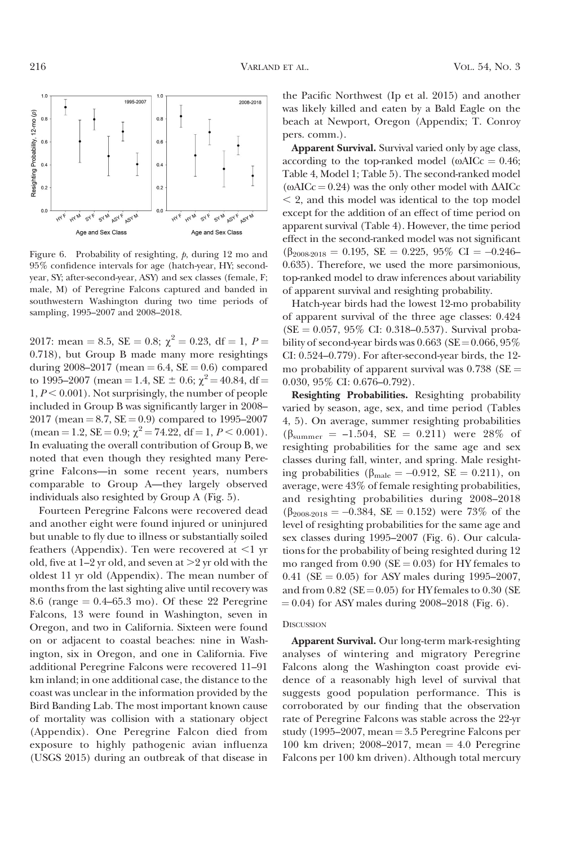$1.0$  $1.0$ 1995-2007 2008-2018 Resighting Probability, 12-mo (p)  $0.8$  $0.8$  $0.6$  $0.6$  $0.4$  $0.4$  $0.2$  $0.2$  $0.0$ SY M ASYF **HHF MM**  $546$ ASYF  $44M_{\odot}$ Age and Sex Class Age and Sex Class

Figure 6. Probability of resighting, p, during 12 mo and 95% confidence intervals for age (hatch-year, HY; secondyear, SY; after-second-year, ASY) and sex classes (female, F; male, M) of Peregrine Falcons captured and banded in southwestern Washington during two time periods of sampling, 1995–2007 and 2008–2018.

2017: mean = 8.5, SE = 0.8;  $\chi^2$  = 0.23, df = 1, P = 0.718), but Group B made many more resightings during 2008–2017 (mean = 6.4,  $SE = 0.6$ ) compared to 1995–2007 (mean = 1.4, SE  $\pm$  0.6;  $\chi^2$  = 40.84, df =  $1, P \leq 0.001$ ). Not surprisingly, the number of people included in Group B was significantly larger in 2008– 2017 (mean  $= 8.7$ ,  $SE = 0.9$ ) compared to 1995–2007  $(\text{mean} = 1.2, \text{SE} = 0.9; \chi^2 = 74.22, \text{df} = 1, P \le 0.001).$ In evaluating the overall contribution of Group B, we noted that even though they resighted many Peregrine Falcons—in some recent years, numbers comparable to Group A—they largely observed individuals also resighted by Group A (Fig. 5).

Fourteen Peregrine Falcons were recovered dead and another eight were found injured or uninjured but unable to fly due to illness or substantially soiled feathers (Appendix). Ten were recovered at  $\leq 1$  yr old, five at  $1-2$  yr old, and seven at  $>2$  yr old with the oldest 11 yr old (Appendix). The mean number of months from the last sighting alive until recovery was 8.6 (range  $= 0.4$ –65.3 mo). Of these 22 Peregrine Falcons, 13 were found in Washington, seven in Oregon, and two in California. Sixteen were found on or adjacent to coastal beaches: nine in Washington, six in Oregon, and one in California. Five additional Peregrine Falcons were recovered 11–91 km inland; in one additional case, the distance to the coast was unclear in the information provided by the Bird Banding Lab. The most important known cause of mortality was collision with a stationary object (Appendix). One Peregrine Falcon died from exposure to highly pathogenic avian influenza (USGS 2015) during an outbreak of that disease in

the Pacific Northwest (Ip et al. 2015) and another was likely killed and eaten by a Bald Eagle on the beach at Newport, Oregon (Appendix; T. Conroy pers. comm.).

Apparent Survival. Survival varied only by age class, according to the top-ranked model ( $\omega AICc = 0.46$ ; Table 4, Model 1; Table 5). The second-ranked model ( $\omega AICc = 0.24$ ) was the only other model with  $\Delta AICc$  $\leq$  2, and this model was identical to the top model except for the addition of an effect of time period on apparent survival (Table 4). However, the time period effect in the second-ranked model was not significant  $(\beta_{2008-2018} = 0.195, \text{ SE} = 0.225, 95\% \text{ CI} = -0.246$ 0.635). Therefore, we used the more parsimonious, top-ranked model to draw inferences about variability of apparent survival and resighting probability.

Hatch-year birds had the lowest 12-mo probability of apparent survival of the three age classes: 0.424  $(SE = 0.057, 95\% \text{ CI: } 0.318 - 0.537)$ . Survival probability of second-year birds was  $0.663$  (SE =  $0.066$ ,  $95\%$ CI: 0.524–0.779). For after-second-year birds, the 12 mo probability of apparent survival was  $0.738$  (SE = 0.030, 95% CI: 0.676–0.792).

Resighting Probabilities. Resighting probability varied by season, age, sex, and time period (Tables 4, 5). On average, summer resighting probabilities  $(\beta_{\text{summer}} = -1.504, \text{ SE } = 0.211)$  were 28% of resighting probabilities for the same age and sex classes during fall, winter, and spring. Male resighting probabilities ( $\beta_{\text{male}} = -0.912$ , SE = 0.211), on average, were 43% of female resighting probabilities, and resighting probabilities during 2008–2018  $(\beta_{2008-2018} = -0.384, SE = 0.152)$  were 73% of the level of resighting probabilities for the same age and sex classes during 1995–2007 (Fig. 6). Our calculations for the probability of being resighted during 12 mo ranged from  $0.90$  (SE = 0.03) for HY females to 0.41 (SE = 0.05) for ASY males during 1995–2007, and from  $0.82$  (SE =  $0.05$ ) for HY females to  $0.30$  (SE  $(0.04)$  for ASY males during 2008–2018 (Fig. 6).

#### **DISCUSSION**

Apparent Survival. Our long-term mark-resighting analyses of wintering and migratory Peregrine Falcons along the Washington coast provide evidence of a reasonably high level of survival that suggests good population performance. This is corroborated by our finding that the observation rate of Peregrine Falcons was stable across the 22-yr study (1995–2007, mean  $=$  3.5 Peregrine Falcons per 100 km driven; 2008–2017, mean  $=$  4.0 Peregrine Falcons per 100 km driven). Although total mercury

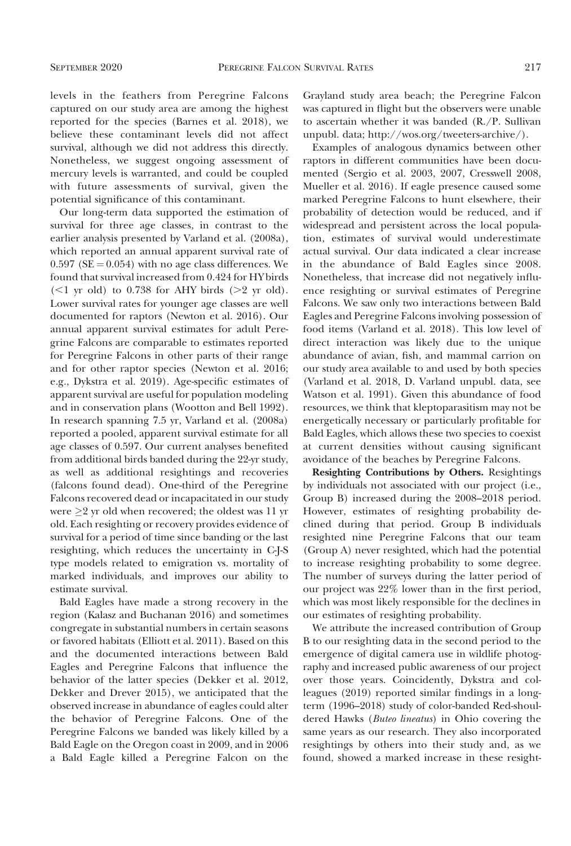levels in the feathers from Peregrine Falcons captured on our study area are among the highest reported for the species (Barnes et al. 2018), we believe these contaminant levels did not affect survival, although we did not address this directly. Nonetheless, we suggest ongoing assessment of mercury levels is warranted, and could be coupled with future assessments of survival, given the potential significance of this contaminant.

Our long-term data supported the estimation of survival for three age classes, in contrast to the earlier analysis presented by Varland et al. (2008a), which reported an annual apparent survival rate of  $0.597$  (SE = 0.054) with no age class differences. We found that survival increased from 0.424 for HY birds  $(\leq 1$  yr old) to 0.738 for AHY birds ( $\geq 2$  yr old). Lower survival rates for younger age classes are well documented for raptors (Newton et al. 2016). Our annual apparent survival estimates for adult Peregrine Falcons are comparable to estimates reported for Peregrine Falcons in other parts of their range and for other raptor species (Newton et al. 2016; e.g., Dykstra et al. 2019). Age-specific estimates of apparent survival are useful for population modeling and in conservation plans (Wootton and Bell 1992). In research spanning 7.5 yr, Varland et al. (2008a) reported a pooled, apparent survival estimate for all age classes of 0.597. Our current analyses benefited from additional birds banded during the 22-yr study, as well as additional resightings and recoveries (falcons found dead). One-third of the Peregrine Falcons recovered dead or incapacitated in our study were  $\geq$  2 yr old when recovered; the oldest was 11 yr old. Each resighting or recovery provides evidence of survival for a period of time since banding or the last resighting, which reduces the uncertainty in C-J-S type models related to emigration vs. mortality of marked individuals, and improves our ability to estimate survival.

Bald Eagles have made a strong recovery in the region (Kalasz and Buchanan 2016) and sometimes congregate in substantial numbers in certain seasons or favored habitats (Elliott et al. 2011). Based on this and the documented interactions between Bald Eagles and Peregrine Falcons that influence the behavior of the latter species (Dekker et al. 2012, Dekker and Drever 2015), we anticipated that the observed increase in abundance of eagles could alter the behavior of Peregrine Falcons. One of the Peregrine Falcons we banded was likely killed by a Bald Eagle on the Oregon coast in 2009, and in 2006 a Bald Eagle killed a Peregrine Falcon on the Grayland study area beach; the Peregrine Falcon was captured in flight but the observers were unable to ascertain whether it was banded (R./P. Sullivan unpubl. data; http://wos.org/tweeters-archive/).

Examples of analogous dynamics between other raptors in different communities have been documented (Sergio et al. 2003, 2007, Cresswell 2008, Mueller et al. 2016). If eagle presence caused some marked Peregrine Falcons to hunt elsewhere, their probability of detection would be reduced, and if widespread and persistent across the local population, estimates of survival would underestimate actual survival. Our data indicated a clear increase in the abundance of Bald Eagles since 2008. Nonetheless, that increase did not negatively influence resighting or survival estimates of Peregrine Falcons. We saw only two interactions between Bald Eagles and Peregrine Falcons involving possession of food items (Varland et al. 2018). This low level of direct interaction was likely due to the unique abundance of avian, fish, and mammal carrion on our study area available to and used by both species (Varland et al. 2018, D. Varland unpubl. data, see Watson et al. 1991). Given this abundance of food resources, we think that kleptoparasitism may not be energetically necessary or particularly profitable for Bald Eagles, which allows these two species to coexist at current densities without causing significant avoidance of the beaches by Peregrine Falcons.

Resighting Contributions by Others. Resightings by individuals not associated with our project (i.e., Group B) increased during the 2008–2018 period. However, estimates of resighting probability declined during that period. Group B individuals resighted nine Peregrine Falcons that our team (Group A) never resighted, which had the potential to increase resighting probability to some degree. The number of surveys during the latter period of our project was 22% lower than in the first period, which was most likely responsible for the declines in our estimates of resighting probability.

We attribute the increased contribution of Group B to our resighting data in the second period to the emergence of digital camera use in wildlife photography and increased public awareness of our project over those years. Coincidently, Dykstra and colleagues (2019) reported similar findings in a longterm (1996–2018) study of color-banded Red-shouldered Hawks (Buteo lineatus) in Ohio covering the same years as our research. They also incorporated resightings by others into their study and, as we found, showed a marked increase in these resight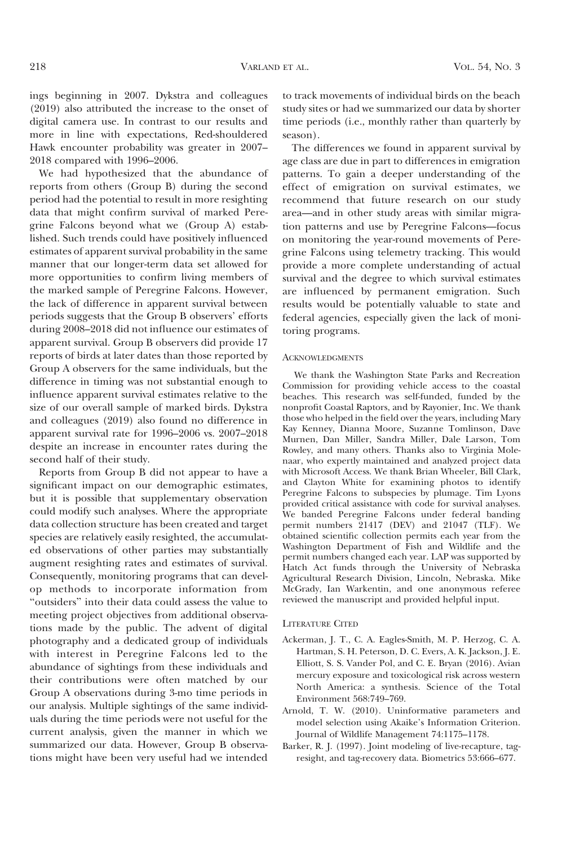ings beginning in 2007. Dykstra and colleagues (2019) also attributed the increase to the onset of digital camera use. In contrast to our results and more in line with expectations, Red-shouldered Hawk encounter probability was greater in 2007– 2018 compared with 1996–2006.

We had hypothesized that the abundance of reports from others (Group B) during the second period had the potential to result in more resighting data that might confirm survival of marked Peregrine Falcons beyond what we (Group A) established. Such trends could have positively influenced estimates of apparent survival probability in the same manner that our longer-term data set allowed for more opportunities to confirm living members of the marked sample of Peregrine Falcons. However, the lack of difference in apparent survival between periods suggests that the Group B observers' efforts during 2008–2018 did not influence our estimates of apparent survival. Group B observers did provide 17 reports of birds at later dates than those reported by Group A observers for the same individuals, but the difference in timing was not substantial enough to influence apparent survival estimates relative to the size of our overall sample of marked birds. Dykstra and colleagues (2019) also found no difference in apparent survival rate for 1996–2006 vs. 2007–2018 despite an increase in encounter rates during the second half of their study.

Reports from Group B did not appear to have a significant impact on our demographic estimates, but it is possible that supplementary observation could modify such analyses. Where the appropriate data collection structure has been created and target species are relatively easily resighted, the accumulated observations of other parties may substantially augment resighting rates and estimates of survival. Consequently, monitoring programs that can develop methods to incorporate information from ''outsiders'' into their data could assess the value to meeting project objectives from additional observations made by the public. The advent of digital photography and a dedicated group of individuals with interest in Peregrine Falcons led to the abundance of sightings from these individuals and their contributions were often matched by our Group A observations during 3-mo time periods in our analysis. Multiple sightings of the same individuals during the time periods were not useful for the current analysis, given the manner in which we summarized our data. However, Group B observations might have been very useful had we intended

to track movements of individual birds on the beach study sites or had we summarized our data by shorter time periods (i.e., monthly rather than quarterly by season).

The differences we found in apparent survival by age class are due in part to differences in emigration patterns. To gain a deeper understanding of the effect of emigration on survival estimates, we recommend that future research on our study area—and in other study areas with similar migration patterns and use by Peregrine Falcons—focus on monitoring the year-round movements of Peregrine Falcons using telemetry tracking. This would provide a more complete understanding of actual survival and the degree to which survival estimates are influenced by permanent emigration. Such results would be potentially valuable to state and federal agencies, especially given the lack of monitoring programs.

### **ACKNOWLEDGMENTS**

We thank the Washington State Parks and Recreation Commission for providing vehicle access to the coastal beaches. This research was self-funded, funded by the nonprofit Coastal Raptors, and by Rayonier, Inc. We thank those who helped in the field over the years, including Mary Kay Kenney, Dianna Moore, Suzanne Tomlinson, Dave Murnen, Dan Miller, Sandra Miller, Dale Larson, Tom Rowley, and many others. Thanks also to Virginia Molenaar, who expertly maintained and analyzed project data with Microsoft Access. We thank Brian Wheeler, Bill Clark, and Clayton White for examining photos to identify Peregrine Falcons to subspecies by plumage. Tim Lyons provided critical assistance with code for survival analyses. We banded Peregrine Falcons under federal banding permit numbers 21417 (DEV) and 21047 (TLF). We obtained scientific collection permits each year from the Washington Department of Fish and Wildlife and the permit numbers changed each year. LAP was supported by Hatch Act funds through the University of Nebraska Agricultural Research Division, Lincoln, Nebraska. Mike McGrady, Ian Warkentin, and one anonymous referee reviewed the manuscript and provided helpful input.

#### LITERATURE CITED

- Ackerman, J. T., C. A. Eagles-Smith, M. P. Herzog, C. A. Hartman, S. H. Peterson, D. C. Evers, A. K. Jackson, J. E. Elliott, S. S. Vander Pol, and C. E. Bryan (2016). Avian mercury exposure and toxicological risk across western North America: a synthesis. Science of the Total Environment 568:749–769.
- Arnold, T. W. (2010). Uninformative parameters and model selection using Akaike's Information Criterion. Journal of Wildlife Management 74:1175–1178.
- Barker, R. J. (1997). Joint modeling of live-recapture, tagresight, and tag-recovery data. Biometrics 53:666–677.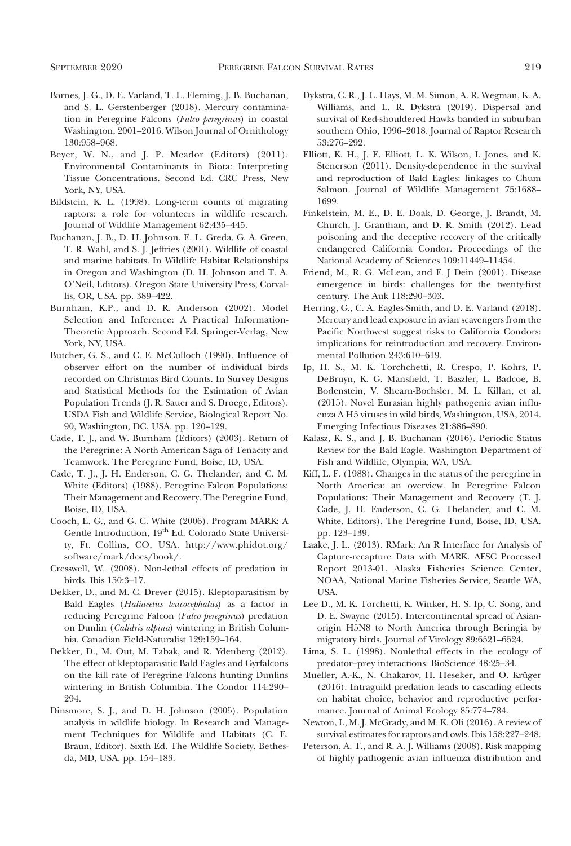- Barnes, J. G., D. E. Varland, T. L. Fleming, J. B. Buchanan, and S. L. Gerstenberger (2018). Mercury contamination in Peregrine Falcons (Falco peregrinus) in coastal Washington, 2001–2016. Wilson Journal of Ornithology 130:958–968.
- Beyer, W. N., and J. P. Meador (Editors) (2011). Environmental Contaminants in Biota: Interpreting Tissue Concentrations. Second Ed. CRC Press, New York, NY, USA.
- Bildstein, K. L. (1998). Long-term counts of migrating raptors: a role for volunteers in wildlife research. Journal of Wildlife Management 62:435–445.
- Buchanan, J. B., D. H. Johnson, E. L. Greda, G. A. Green, T. R. Wahl, and S. J. Jeffries (2001). Wildlife of coastal and marine habitats. In Wildlife Habitat Relationships in Oregon and Washington (D. H. Johnson and T. A. O'Neil, Editors). Oregon State University Press, Corvallis, OR, USA. pp. 389–422.
- Burnham, K.P., and D. R. Anderson (2002). Model Selection and Inference: A Practical Information-Theoretic Approach. Second Ed. Springer-Verlag, New York, NY, USA.
- Butcher, G. S., and C. E. McCulloch (1990). Influence of observer effort on the number of individual birds recorded on Christmas Bird Counts. In Survey Designs and Statistical Methods for the Estimation of Avian Population Trends (J. R. Sauer and S. Droege, Editors). USDA Fish and Wildlife Service, Biological Report No. 90, Washington, DC, USA. pp. 120–129.
- Cade, T. J., and W. Burnham (Editors) (2003). Return of the Peregrine: A North American Saga of Tenacity and Teamwork. The Peregrine Fund, Boise, ID, USA.
- Cade, T. J., J. H. Enderson, C. G. Thelander, and C. M. White (Editors) (1988). Peregrine Falcon Populations: Their Management and Recovery. The Peregrine Fund, Boise, ID, USA.
- Cooch, E. G., and G. C. White (2006). Program MARK: A Gentle Introduction, 19<sup>th</sup> Ed. Colorado State University, Ft. Collins, CO, USA. http://www.phidot.org/ software/mark/docs/book/.
- Cresswell, W. (2008). Non-lethal effects of predation in birds. Ibis 150:3–17.
- Dekker, D., and M. C. Drever (2015). Kleptoparasitism by Bald Eagles (Haliaeetus leucocephalus) as a factor in reducing Peregrine Falcon (Falco peregrinus) predation on Dunlin (Calidris alpina) wintering in British Columbia. Canadian Field-Naturalist 129:159–164.
- Dekker, D., M. Out, M. Tabak, and R. Ydenberg (2012). The effect of kleptoparasitic Bald Eagles and Gyrfalcons on the kill rate of Peregrine Falcons hunting Dunlins wintering in British Columbia. The Condor 114:290– 294.
- Dinsmore, S. J., and D. H. Johnson (2005). Population analysis in wildlife biology. In Research and Management Techniques for Wildlife and Habitats (C. E. Braun, Editor). Sixth Ed. The Wildlife Society, Bethesda, MD, USA. pp. 154–183.
- Dykstra, C. R., J. L. Hays, M. M. Simon, A. R. Wegman, K. A. Williams, and L. R. Dykstra (2019). Dispersal and survival of Red-shouldered Hawks banded in suburban southern Ohio, 1996–2018. Journal of Raptor Research 53:276–292.
- Elliott, K. H., J. E. Elliott, L. K. Wilson, I. Jones, and K. Stenerson (2011). Density-dependence in the survival and reproduction of Bald Eagles: linkages to Chum Salmon. Journal of Wildlife Management 75:1688– 1699.
- Finkelstein, M. E., D. E. Doak, D. George, J. Brandt, M. Church, J. Grantham, and D. R. Smith (2012). Lead poisoning and the deceptive recovery of the critically endangered California Condor. Proceedings of the National Academy of Sciences 109:11449–11454.
- Friend, M., R. G. McLean, and F. J Dein (2001). Disease emergence in birds: challenges for the twenty-first century. The Auk 118:290–303.
- Herring, G., C. A. Eagles-Smith, and D. E. Varland (2018). Mercury and lead exposure in avian scavengers from the Pacific Northwest suggest risks to California Condors: implications for reintroduction and recovery. Environmental Pollution 243:610–619.
- Ip, H. S., M. K. Torchchetti, R. Crespo, P. Kohrs, P. DeBruyn, K. G. Mansfield, T. Baszler, L. Badcoe, B. Bodenstein, V. Shearn-Bochsler, M. L. Killan, et al. (2015). Novel Eurasian highly pathogenic avian influenza A H5 viruses in wild birds, Washington, USA, 2014. Emerging Infectious Diseases 21:886–890.
- Kalasz, K. S., and J. B. Buchanan (2016). Periodic Status Review for the Bald Eagle. Washington Department of Fish and Wildlife, Olympia, WA, USA.
- Kiff, L. F. (1988). Changes in the status of the peregrine in North America: an overview. In Peregrine Falcon Populations: Their Management and Recovery (T. J. Cade, J. H. Enderson, C. G. Thelander, and C. M. White, Editors). The Peregrine Fund, Boise, ID, USA. pp. 123–139.
- Laake, J. L. (2013). RMark: An R Interface for Analysis of Capture-recapture Data with MARK. AFSC Processed Report 2013-01, Alaska Fisheries Science Center, NOAA, National Marine Fisheries Service, Seattle WA, USA.
- Lee D., M. K. Torchetti, K. Winker, H. S. Ip, C. Song, and D. E. Swayne (2015). Intercontinental spread of Asianorigin H5N8 to North America through Beringia by migratory birds. Journal of Virology 89:6521–6524.
- Lima, S. L. (1998). Nonlethal effects in the ecology of predator–prey interactions. BioScience 48:25–34.
- Mueller, A.-K., N. Chakarov, H. Heseker, and O. Krüger (2016). Intraguild predation leads to cascading effects on habitat choice, behavior and reproductive performance. Journal of Animal Ecology 85:774–784.
- Newton, I., M. J. McGrady, and M. K. Oli (2016). A review of survival estimates for raptors and owls. Ibis 158:227–248.
- Peterson, A. T., and R. A. J. Williams (2008). Risk mapping of highly pathogenic avian influenza distribution and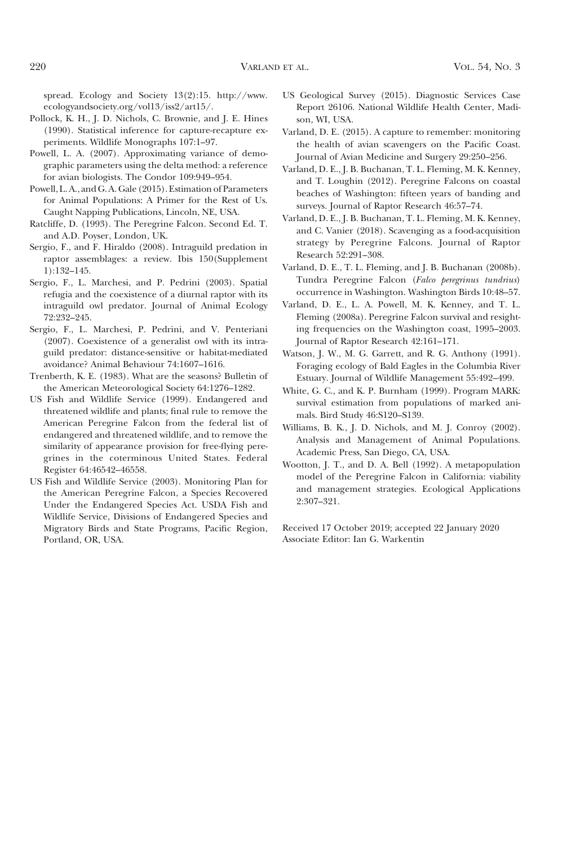spread. Ecology and Society 13(2):15. http://www. ecologyandsociety.org/vol13/iss2/art15/.

- Pollock, K. H., J. D. Nichols, C. Brownie, and J. E. Hines (1990). Statistical inference for capture-recapture experiments. Wildlife Monographs 107:1–97.
- Powell, L. A. (2007). Approximating variance of demographic parameters using the delta method: a reference for avian biologists. The Condor 109:949–954.
- Powell, L. A., and G. A. Gale (2015). Estimation of Parameters for Animal Populations: A Primer for the Rest of Us. Caught Napping Publications, Lincoln, NE, USA.
- Ratcliffe, D. (1993). The Peregrine Falcon. Second Ed. T. and A.D. Poyser, London, UK.
- Sergio, F., and F. Hiraldo (2008). Intraguild predation in raptor assemblages: a review. Ibis 150(Supplement 1):132–145.
- Sergio, F., L. Marchesi, and P. Pedrini (2003). Spatial refugia and the coexistence of a diurnal raptor with its intraguild owl predator. Journal of Animal Ecology 72:232–245.
- Sergio, F., L. Marchesi, P. Pedrini, and V. Penteriani (2007). Coexistence of a generalist owl with its intraguild predator: distance-sensitive or habitat-mediated avoidance? Animal Behaviour 74:1607–1616.
- Trenberth, K. E. (1983). What are the seasons? Bulletin of the American Meteorological Society 64:1276–1282.
- US Fish and Wildlife Service (1999). Endangered and threatened wildlife and plants; final rule to remove the American Peregrine Falcon from the federal list of endangered and threatened wildlife, and to remove the similarity of appearance provision for free-flying peregrines in the coterminous United States. Federal Register 64:46542–46558.
- US Fish and Wildlife Service (2003). Monitoring Plan for the American Peregrine Falcon, a Species Recovered Under the Endangered Species Act. USDA Fish and Wildlife Service, Divisions of Endangered Species and Migratory Birds and State Programs, Pacific Region, Portland, OR, USA.
- US Geological Survey (2015). Diagnostic Services Case Report 26106. National Wildlife Health Center, Madison, WI, USA.
- Varland, D. E. (2015). A capture to remember: monitoring the health of avian scavengers on the Pacific Coast. Journal of Avian Medicine and Surgery 29:250–256.
- Varland, D. E., J. B. Buchanan, T. L. Fleming, M. K. Kenney, and T. Loughin (2012). Peregrine Falcons on coastal beaches of Washington: fifteen years of banding and surveys. Journal of Raptor Research 46:57–74.
- Varland, D. E., J. B. Buchanan, T. L. Fleming, M. K. Kenney, and C. Vanier (2018). Scavenging as a food-acquisition strategy by Peregrine Falcons. Journal of Raptor Research 52:291–308.
- Varland, D. E., T. L. Fleming, and J. B. Buchanan (2008b). Tundra Peregrine Falcon (Falco peregrinus tundrius) occurrence in Washington. Washington Birds 10:48–57.
- Varland, D. E., L. A. Powell, M. K. Kenney, and T. L. Fleming (2008a). Peregrine Falcon survival and resighting frequencies on the Washington coast, 1995–2003. Journal of Raptor Research 42:161–171.
- Watson, J. W., M. G. Garrett, and R. G. Anthony (1991). Foraging ecology of Bald Eagles in the Columbia River Estuary. Journal of Wildlife Management 55:492–499.
- White, G. C., and K. P. Burnham (1999). Program MARK: survival estimation from populations of marked animals. Bird Study 46:S120–S139.
- Williams, B. K., J. D. Nichols, and M. J. Conroy (2002). Analysis and Management of Animal Populations. Academic Press, San Diego, CA, USA.
- Wootton, J. T., and D. A. Bell (1992). A metapopulation model of the Peregrine Falcon in California: viability and management strategies. Ecological Applications 2:307–321.

Received 17 October 2019; accepted 22 January 2020 Associate Editor: Ian G. Warkentin